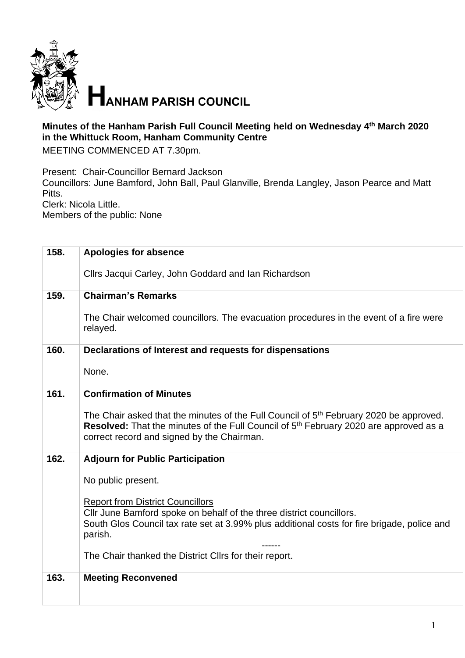

## **Minutes of the Hanham Parish Full Council Meeting held on Wednesday 4 th March 2020 in the Whittuck Room, Hanham Community Centre**

MEETING COMMENCED AT 7.30pm.

Present: Chair-Councillor Bernard Jackson

Councillors: June Bamford, John Ball, Paul Glanville, Brenda Langley, Jason Pearce and Matt Pitts.

Clerk: Nicola Little.

Members of the public: None

| 158. | <b>Apologies for absence</b>                                                                                                                                                                                                                          |
|------|-------------------------------------------------------------------------------------------------------------------------------------------------------------------------------------------------------------------------------------------------------|
|      | Cllrs Jacqui Carley, John Goddard and Ian Richardson                                                                                                                                                                                                  |
| 159. | <b>Chairman's Remarks</b>                                                                                                                                                                                                                             |
|      | The Chair welcomed councillors. The evacuation procedures in the event of a fire were<br>relayed.                                                                                                                                                     |
| 160. | Declarations of Interest and requests for dispensations                                                                                                                                                                                               |
|      | None.                                                                                                                                                                                                                                                 |
| 161. | <b>Confirmation of Minutes</b>                                                                                                                                                                                                                        |
|      | The Chair asked that the minutes of the Full Council of 5 <sup>th</sup> February 2020 be approved.<br>Resolved: That the minutes of the Full Council of 5 <sup>th</sup> February 2020 are approved as a<br>correct record and signed by the Chairman. |
| 162. | <b>Adjourn for Public Participation</b>                                                                                                                                                                                                               |
|      | No public present.                                                                                                                                                                                                                                    |
|      | <b>Report from District Councillors</b><br>Cllr June Bamford spoke on behalf of the three district councillors.<br>South Glos Council tax rate set at 3.99% plus additional costs for fire brigade, police and<br>parish.                             |
|      | The Chair thanked the District Cllrs for their report.                                                                                                                                                                                                |
| 163. | <b>Meeting Reconvened</b>                                                                                                                                                                                                                             |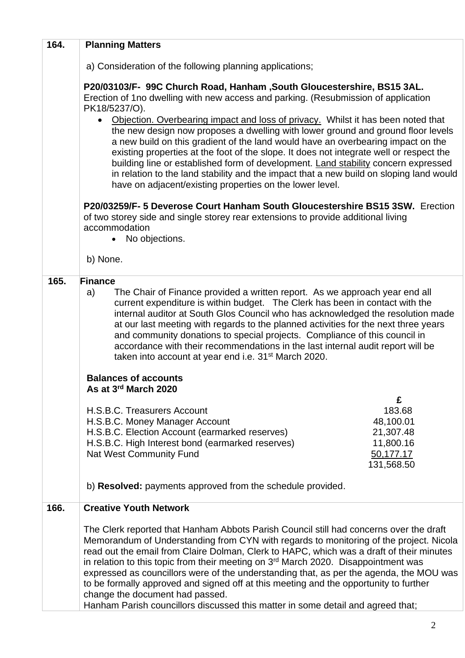| 164. | <b>Planning Matters</b>                                                                                                                                                                                                                                                                                                                                                                                                                                                                                                                                                                                                                                                                                                                                                                                                                                                                                                                                                                                              |
|------|----------------------------------------------------------------------------------------------------------------------------------------------------------------------------------------------------------------------------------------------------------------------------------------------------------------------------------------------------------------------------------------------------------------------------------------------------------------------------------------------------------------------------------------------------------------------------------------------------------------------------------------------------------------------------------------------------------------------------------------------------------------------------------------------------------------------------------------------------------------------------------------------------------------------------------------------------------------------------------------------------------------------|
|      | a) Consideration of the following planning applications;                                                                                                                                                                                                                                                                                                                                                                                                                                                                                                                                                                                                                                                                                                                                                                                                                                                                                                                                                             |
|      | P20/03103/F- 99C Church Road, Hanham , South Gloucestershire, BS15 3AL.<br>Erection of 1no dwelling with new access and parking. (Resubmission of application<br>PK18/5237/O).<br>Objection. Overbearing impact and loss of privacy. Whilst it has been noted that<br>$\bullet$<br>the new design now proposes a dwelling with lower ground and ground floor levels<br>a new build on this gradient of the land would have an overbearing impact on the<br>existing properties at the foot of the slope. It does not integrate well or respect the<br>building line or established form of development. Land stability concern expressed<br>in relation to the land stability and the impact that a new build on sloping land would<br>have on adjacent/existing properties on the lower level.<br>P20/03259/F- 5 Deverose Court Hanham South Gloucestershire BS15 3SW. Erection<br>of two storey side and single storey rear extensions to provide additional living<br>accommodation<br>No objections.<br>b) None. |
| 165. | <b>Finance</b>                                                                                                                                                                                                                                                                                                                                                                                                                                                                                                                                                                                                                                                                                                                                                                                                                                                                                                                                                                                                       |
|      | The Chair of Finance provided a written report. As we approach year end all<br>a)<br>current expenditure is within budget. The Clerk has been in contact with the<br>internal auditor at South Glos Council who has acknowledged the resolution made<br>at our last meeting with regards to the planned activities for the next three years<br>and community donations to special projects. Compliance of this council in<br>accordance with their recommendations in the last internal audit report will be<br>taken into account at year end i.e. 31 <sup>st</sup> March 2020.<br><b>Balances of accounts</b><br>As at 3rd March 2020<br>£<br>H.S.B.C. Treasurers Account<br>183.68<br>H.S.B.C. Money Manager Account<br>48,100.01<br>H.S.B.C. Election Account (earmarked reserves)<br>21,307.48<br>H.S.B.C. High Interest bond (earmarked reserves)<br>11,800.16<br><b>Nat West Community Fund</b><br>50,177.17<br>131,568.50<br>b) Resolved: payments approved from the schedule provided.                      |
|      |                                                                                                                                                                                                                                                                                                                                                                                                                                                                                                                                                                                                                                                                                                                                                                                                                                                                                                                                                                                                                      |
| 166. | <b>Creative Youth Network</b>                                                                                                                                                                                                                                                                                                                                                                                                                                                                                                                                                                                                                                                                                                                                                                                                                                                                                                                                                                                        |
|      | The Clerk reported that Hanham Abbots Parish Council still had concerns over the draft<br>Memorandum of Understanding from CYN with regards to monitoring of the project. Nicola<br>read out the email from Claire Dolman, Clerk to HAPC, which was a draft of their minutes<br>in relation to this topic from their meeting on $3rd$ March 2020. Disappointment was<br>expressed as councillors were of the understanding that, as per the agenda, the MOU was<br>to be formally approved and signed off at this meeting and the opportunity to further<br>change the document had passed.<br>Hanham Parish councillors discussed this matter in some detail and agreed that;                                                                                                                                                                                                                                                                                                                                       |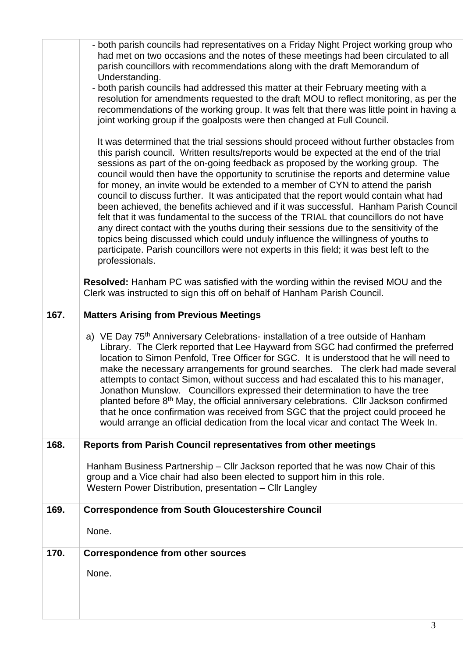|      | - both parish councils had representatives on a Friday Night Project working group who<br>had met on two occasions and the notes of these meetings had been circulated to all<br>parish councillors with recommendations along with the draft Memorandum of<br>Understanding.<br>- both parish councils had addressed this matter at their February meeting with a<br>resolution for amendments requested to the draft MOU to reflect monitoring, as per the<br>recommendations of the working group. It was felt that there was little point in having a<br>joint working group if the goalposts were then changed at Full Council.<br>It was determined that the trial sessions should proceed without further obstacles from<br>this parish council. Written results/reports would be expected at the end of the trial       |
|------|---------------------------------------------------------------------------------------------------------------------------------------------------------------------------------------------------------------------------------------------------------------------------------------------------------------------------------------------------------------------------------------------------------------------------------------------------------------------------------------------------------------------------------------------------------------------------------------------------------------------------------------------------------------------------------------------------------------------------------------------------------------------------------------------------------------------------------|
|      | sessions as part of the on-going feedback as proposed by the working group. The<br>council would then have the opportunity to scrutinise the reports and determine value<br>for money, an invite would be extended to a member of CYN to attend the parish<br>council to discuss further. It was anticipated that the report would contain what had<br>been achieved, the benefits achieved and if it was successful. Hanham Parish Council<br>felt that it was fundamental to the success of the TRIAL that councillors do not have<br>any direct contact with the youths during their sessions due to the sensitivity of the<br>topics being discussed which could unduly influence the willingness of youths to<br>participate. Parish councillors were not experts in this field; it was best left to the<br>professionals. |
|      | <b>Resolved:</b> Hanham PC was satisfied with the wording within the revised MOU and the<br>Clerk was instructed to sign this off on behalf of Hanham Parish Council.                                                                                                                                                                                                                                                                                                                                                                                                                                                                                                                                                                                                                                                           |
| 167. | <b>Matters Arising from Previous Meetings</b>                                                                                                                                                                                                                                                                                                                                                                                                                                                                                                                                                                                                                                                                                                                                                                                   |
|      | a) VE Day 75 <sup>th</sup> Anniversary Celebrations- installation of a tree outside of Hanham<br>Library. The Clerk reported that Lee Hayward from SGC had confirmed the preferred<br>location to Simon Penfold, Tree Officer for SGC. It is understood that he will need to<br>make the necessary arrangements for ground searches. The clerk had made several<br>attempts to contact Simon, without success and had escalated this to his manager,<br>Jonathon Munslow. Councillors expressed their determination to have the tree<br>planted before 8 <sup>th</sup> May, the official anniversary celebrations. Cllr Jackson confirmed<br>that he once confirmation was received from SGC that the project could proceed he<br>would arrange an official dedication from the local vicar and contact The Week In.            |
| 168. | Reports from Parish Council representatives from other meetings                                                                                                                                                                                                                                                                                                                                                                                                                                                                                                                                                                                                                                                                                                                                                                 |
|      | Hanham Business Partnership – Cllr Jackson reported that he was now Chair of this<br>group and a Vice chair had also been elected to support him in this role.<br>Western Power Distribution, presentation - Cllr Langley                                                                                                                                                                                                                                                                                                                                                                                                                                                                                                                                                                                                       |
| 169. |                                                                                                                                                                                                                                                                                                                                                                                                                                                                                                                                                                                                                                                                                                                                                                                                                                 |
|      | <b>Correspondence from South Gloucestershire Council</b>                                                                                                                                                                                                                                                                                                                                                                                                                                                                                                                                                                                                                                                                                                                                                                        |
|      | None.                                                                                                                                                                                                                                                                                                                                                                                                                                                                                                                                                                                                                                                                                                                                                                                                                           |
| 170. | <b>Correspondence from other sources</b>                                                                                                                                                                                                                                                                                                                                                                                                                                                                                                                                                                                                                                                                                                                                                                                        |
|      | None.                                                                                                                                                                                                                                                                                                                                                                                                                                                                                                                                                                                                                                                                                                                                                                                                                           |